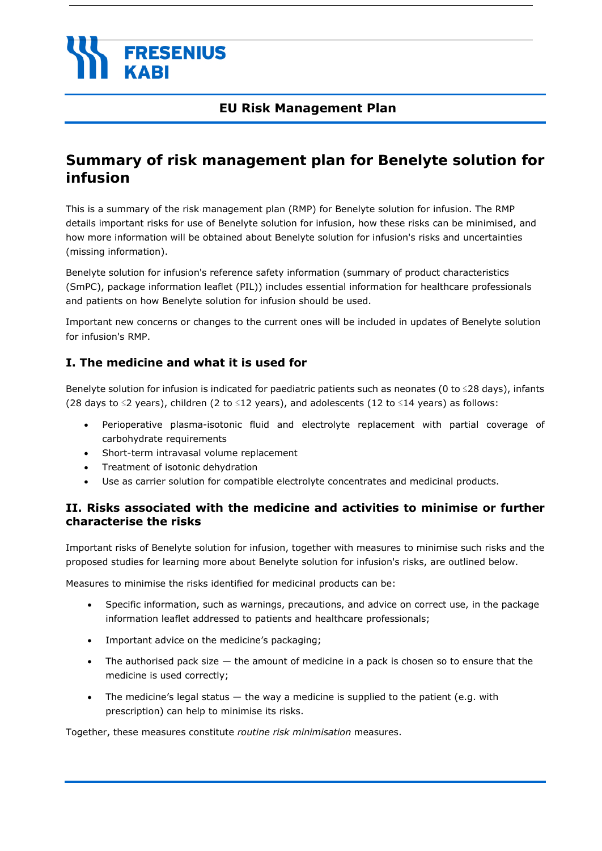# **FRESENIUS**

## **EU Risk Management Plan**

## **Summary of risk management plan for Benelyte solution for infusion**

This is a summary of the risk management plan (RMP) for Benelyte solution for infusion. The RMP details important risks for use of Benelyte solution for infusion, how these risks can be minimised, and how more information will be obtained about Benelyte solution for infusion's risks and uncertainties (missing information).

Benelyte solution for infusion's reference safety information (summary of product characteristics (SmPC), package information leaflet (PIL)) includes essential information for healthcare professionals and patients on how Benelyte solution for infusion should be used.

Important new concerns or changes to the current ones will be included in updates of Benelyte solution for infusion's RMP.

## **I. The medicine and what it is used for**

Benelyte solution for infusion is indicated for paediatric patients such as neonates (0 to ≤28 days), infants (28 days to  $\leq$ 2 years), children (2 to  $\leq$ 12 years), and adolescents (12 to  $\leq$ 14 years) as follows:

- Perioperative plasma-isotonic fluid and electrolyte replacement with partial coverage of carbohydrate requirements
- Short-term intravasal volume replacement
- Treatment of isotonic dehydration
- Use as carrier solution for compatible electrolyte concentrates and medicinal products.

## **II. Risks associated with the medicine and activities to minimise or further characterise the risks**

Important risks of Benelyte solution for infusion, together with measures to minimise such risks and the proposed studies for learning more about Benelyte solution for infusion's risks, are outlined below.

Measures to minimise the risks identified for medicinal products can be:

- Specific information, such as warnings, precautions, and advice on correct use, in the package information leaflet addressed to patients and healthcare professionals;
- Important advice on the medicine's packaging;
- The authorised pack size  $-$  the amount of medicine in a pack is chosen so to ensure that the medicine is used correctly;
- The medicine's legal status  $-$  the way a medicine is supplied to the patient (e.g. with prescription) can help to minimise its risks.

Together, these measures constitute *routine risk minimisation* measures.